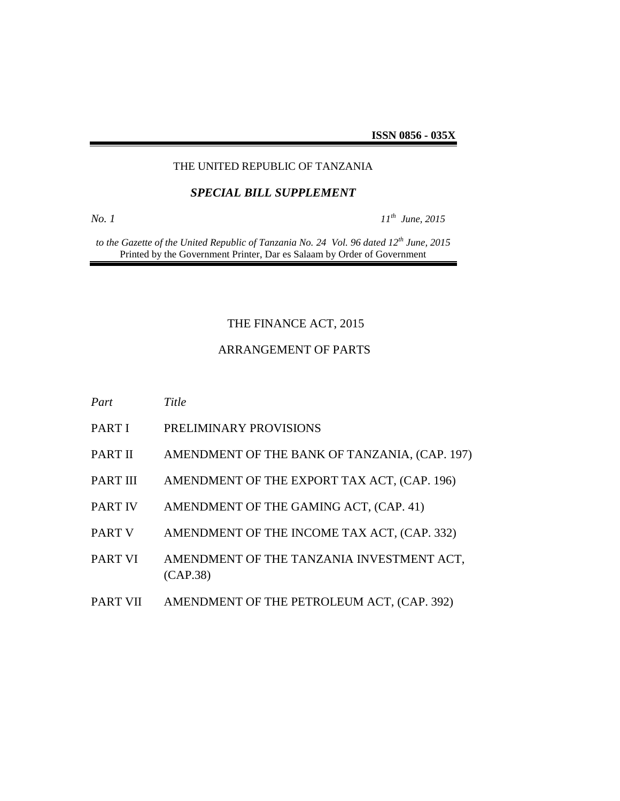#### THE UNITED REPUBLIC OF TANZANIA

#### *SPECIAL BILL SUPPLEMENT*

*No. 1 11*

*th June, 2015*

*to the Gazette of the United Republic of Tanzania No. 24 Vol. 96 dated 12th June, 2015* Printed by the Government Printer, Dar es Salaam by Order of Government

### THE FINANCE ACT, 2015

#### ARRANGEMENT OF PARTS

| Part            | Title                                                 |
|-----------------|-------------------------------------------------------|
| PART I          | PRELIMINARY PROVISIONS                                |
| PART II         | AMENDMENT OF THE BANK OF TANZANIA, (CAP. 197)         |
| <b>PART III</b> | AMENDMENT OF THE EXPORT TAX ACT, (CAP. 196)           |
| <b>PART IV</b>  | AMENDMENT OF THE GAMING ACT, (CAP. 41)                |
| <b>PART V</b>   | AMENDMENT OF THE INCOME TAX ACT, (CAP. 332)           |
| PART VI         | AMENDMENT OF THE TANZANIA INVESTMENT ACT,<br>(CAP.38) |
| <b>PART VII</b> | AMENDMENT OF THE PETROLEUM ACT, (CAP. 392)            |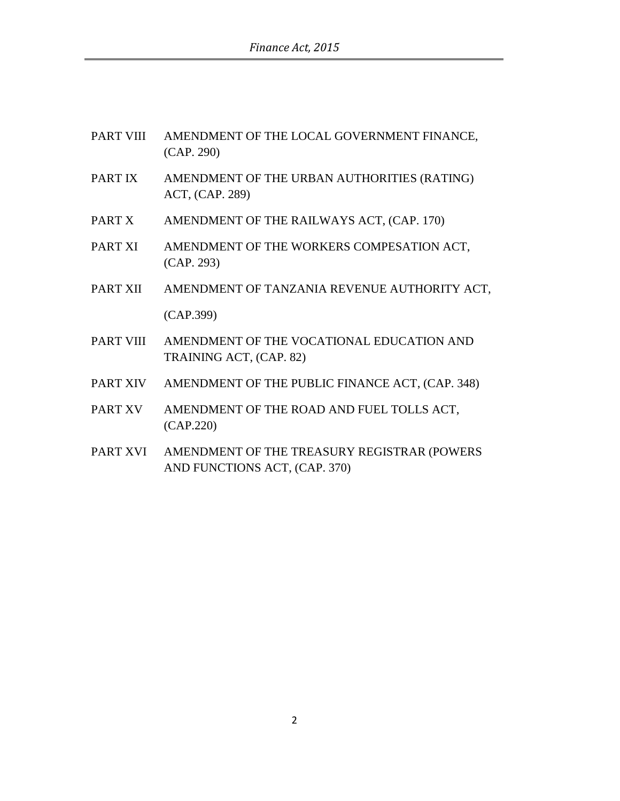| PART VIII | AMENDMENT OF THE LOCAL GOVERNMENT FINANCE, |
|-----------|--------------------------------------------|
|           | (CAP. 290)                                 |

- PART IX AMENDMENT OF THE URBAN AUTHORITIES (RATING) ACT, (CAP. 289)
- PART X AMENDMENT OF THE RAILWAYS ACT, (CAP. 170)
- PART XI AMENDMENT OF THE WORKERS COMPESATION ACT, (CAP. 293)
- PART XII AMENDMENT OF TANZANIA REVENUE AUTHORITY ACT, (CAP.399)
- PART VIII AMENDMENT OF THE VOCATIONAL EDUCATION AND TRAINING ACT, (CAP. 82)
- PART XIV AMENDMENT OF THE PUBLIC FINANCE ACT, (CAP. 348)
- PART XV AMENDMENT OF THE ROAD AND FUEL TOLLS ACT, (CAP.220)
- PART XVI AMENDMENT OF THE TREASURY REGISTRAR (POWERS AND FUNCTIONS ACT, (CAP. 370)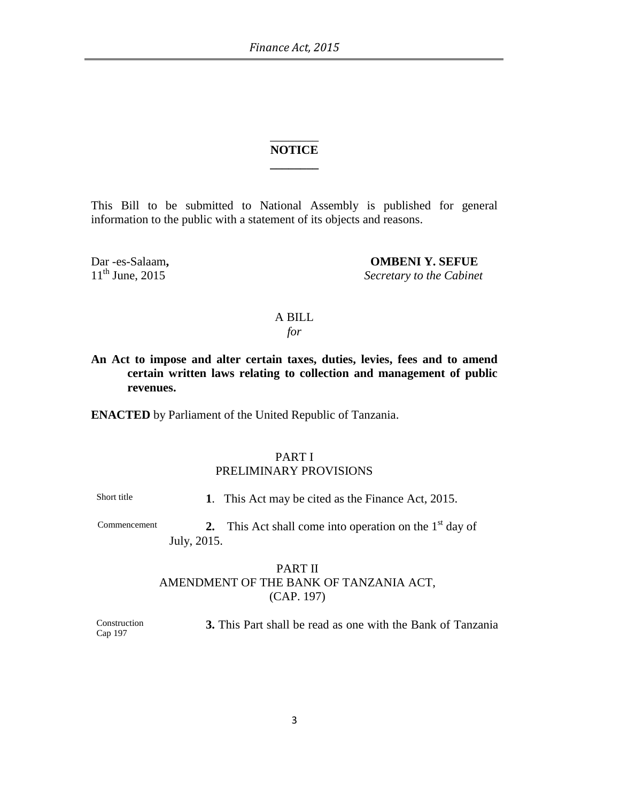#### \_\_\_\_\_\_\_\_ **NOTICE \_\_\_\_\_\_\_\_**

This Bill to be submitted to National Assembly is published for general information to the public with a statement of its objects and reasons.

Dar -es-Salaam, **OMBENI Y. SEFUE**<br>
11<sup>th</sup> June, 2015 Secretary to the Cabinei **Secretary to the Cabinet** 

### A BILL

*for*

**An Act to impose and alter certain taxes, duties, levies, fees and to amend certain written laws relating to collection and management of public revenues.**

**ENACTED** by Parliament of the United Republic of Tanzania.

#### PART I PRELIMINARY PROVISIONS

Short title **1**. This Act may be cited as the Finance Act, 2015.

Commencement **2.** This Act shall come into operation on the  $1<sup>st</sup>$  day of July, 2015.

### PART II AMENDMENT OF THE BANK OF TANZANIA ACT, (CAP. 197)

Construction Cap 197 **3.** This Part shall be read as one with the Bank of Tanzania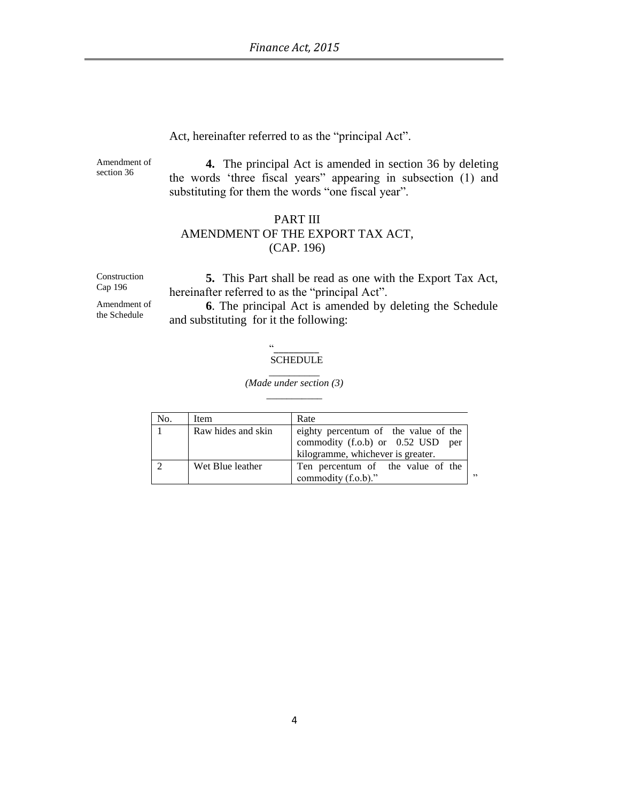Act, hereinafter referred to as the "principal Act".

Amendment of section 36

**4.** The principal Act is amended in section 36 by deleting the words "three fiscal years" appearing in subsection (1) and substituting for them the words "one fiscal year".

#### PART III AMENDMENT OF THE EXPORT TAX ACT, (CAP. 196)

Construction Cap 196

**5.** This Part shall be read as one with the Export Tax Act, hereinafter referred to as the "principal Act".

Amendment of the Schedule

**6**. The principal Act is amended by deleting the Schedule and substituting for it the following:

#### "\_\_\_\_\_\_\_\_\_ SCHEDULE

#### \_\_\_\_\_\_\_\_\_\_ *(Made under section (3)*

| No. | Item               | Rate                                                                                                                  |
|-----|--------------------|-----------------------------------------------------------------------------------------------------------------------|
|     | Raw hides and skin | eighty percentum of the value of the<br>commodity $(f.o.b)$ or $0.52$ USD<br>per<br>kilogramme, whichever is greater. |
|     | Wet Blue leather   | Ten percentum of the value of the<br>,,<br>commodity (f.o.b)."                                                        |

# \_\_\_\_\_\_\_\_\_\_\_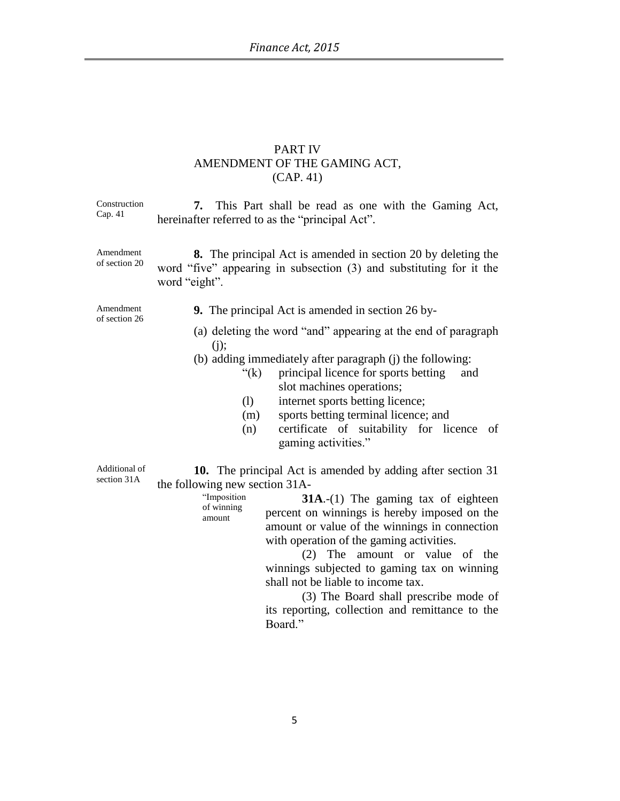# PART IV AMENDMENT OF THE GAMING ACT, (CAP. 41)

| Construction<br>Cap. 41      | This Part shall be read as one with the Gaming Act,<br>7.<br>hereinafter referred to as the "principal Act".                                                                                                                                                                                                                                                                                                                                                                                                                                                        |
|------------------------------|---------------------------------------------------------------------------------------------------------------------------------------------------------------------------------------------------------------------------------------------------------------------------------------------------------------------------------------------------------------------------------------------------------------------------------------------------------------------------------------------------------------------------------------------------------------------|
| Amendment<br>of section 20   | <b>8.</b> The principal Act is amended in section 20 by deleting the<br>word "five" appearing in subsection (3) and substituting for it the<br>word "eight".                                                                                                                                                                                                                                                                                                                                                                                                        |
| Amendment<br>of section 26   | <b>9.</b> The principal Act is amended in section 26 by-                                                                                                                                                                                                                                                                                                                                                                                                                                                                                                            |
|                              | (a) deleting the word "and" appearing at the end of paragraph<br>$(j)$ ;<br>(b) adding immediately after paragraph (j) the following:<br>" $(k)$<br>principal licence for sports betting<br>and<br>slot machines operations;<br>internet sports betting licence;<br>(1)<br>sports betting terminal licence; and<br>(m)<br>certificate of suitability for licence<br>(n)<br>of<br>gaming activities."                                                                                                                                                                |
| Additional of<br>section 31A | <b>10.</b> The principal Act is amended by adding after section 31<br>the following new section 31A-<br>"Imposition<br>$31A$ .-(1) The gaming tax of eighteen<br>of winning<br>percent on winnings is hereby imposed on the<br>amount<br>amount or value of the winnings in connection<br>with operation of the gaming activities.<br>The amount or value of the<br>(2)<br>winnings subjected to gaming tax on winning<br>shall not be liable to income tax.<br>(3) The Board shall prescribe mode of<br>its reporting, collection and remittance to the<br>Board." |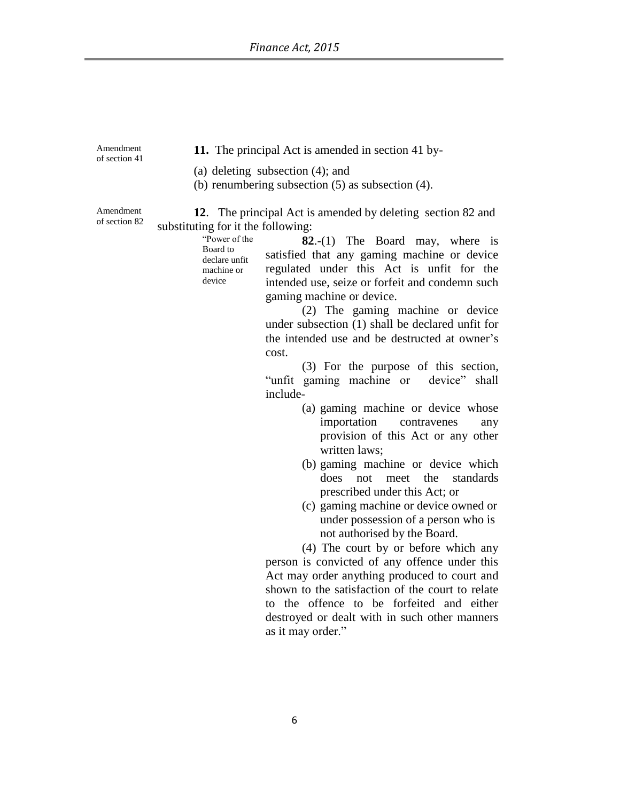Amendment of section 41

**11.** The principal Act is amended in section 41 by-

(a) deleting subsection (4); and

(b) renumbering subsection (5) as subsection (4).

Amendment of section 82

**12**. The principal Act is amended by deleting section 82 and substituting for it the following:

> "Power of the Board to declare unfit machine or device

**82**.-(1) The Board may, where is satisfied that any gaming machine or device regulated under this Act is unfit for the intended use, seize or forfeit and condemn such gaming machine or device.

(2) The gaming machine or device under subsection (1) shall be declared unfit for the intended use and be destructed at owner"s cost.

(3) For the purpose of this section, "unfit gaming machine or device" shall include-

- (a) gaming machine or device whose importation contravenes any provision of this Act or any other written laws;
- (b) gaming machine or device which does not meet the standards prescribed under this Act; or
- (c) gaming machine or device owned or under possession of a person who is not authorised by the Board.

(4) The court by or before which any person is convicted of any offence under this Act may order anything produced to court and shown to the satisfaction of the court to relate to the offence to be forfeited and either destroyed or dealt with in such other manners as it may order."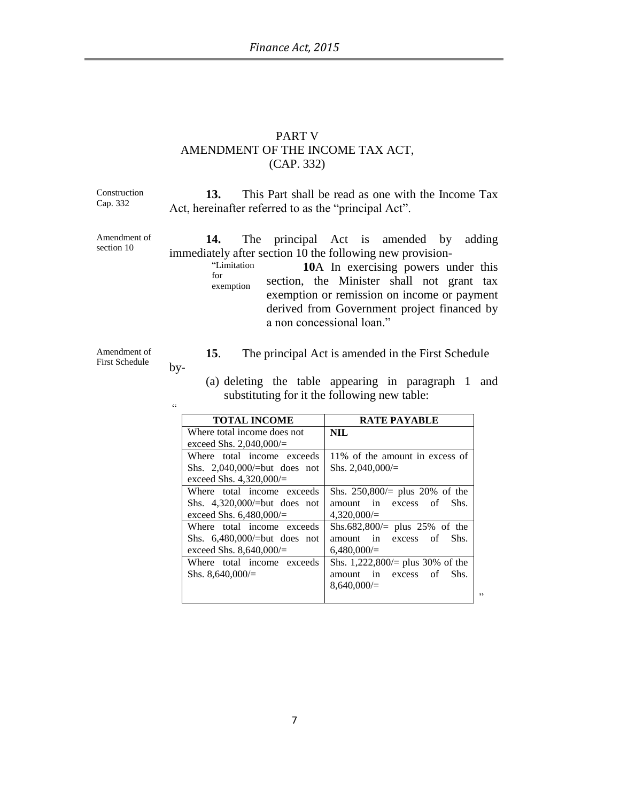#### PART V AMENDMENT OF THE INCOME TAX ACT, (CAP. 332)

Construction Cap. 332

**13.** This Part shall be read as one with the Income Tax Act, hereinafter referred to as the "principal Act".

Amendment of section 10

**14.** The principal Act is amended by adding immediately after section 10 the following new provision-

"Limitation for exemption **10**A In exercising powers under this section, the Minister shall not grant tax exemption or remission on income or payment derived from Government project financed by a non concessional loan."

Amendment of First Schedule

"

by-

**15**. The principal Act is amended in the First Schedule

(a) deleting the table appearing in paragraph 1 and

- substituting for it the following new table: **TOTAL INCOME RATE PAYABLE** Where total income does not exceed Shs. 2,040,000/= **NIL** Where total income exceeds Shs. 2,040,000/=but does not exceed Shs. 4,320,000/= 11% of the amount in excess of Shs. 2,040,000/= Where total income exceeds Shs. 250,800/= plus 20% of the
- Shs. 4,320,000/=but does not exceed Shs. 6,480,000/= amount in excess of Shs.  $4,320,000/=$

Where total income exceeds Shs. 6,480,000/=but does not exceed Shs. 8,640,000/= Shs.682,800/= plus 25% of the amount in excess of Shs. 6,480,000/= Where total income exceeds Shs.  $8,640,000/=$ Shs. 1,222,800/= plus 30% of the amount in excess of Shs.

 $8,640,000/=$ 

"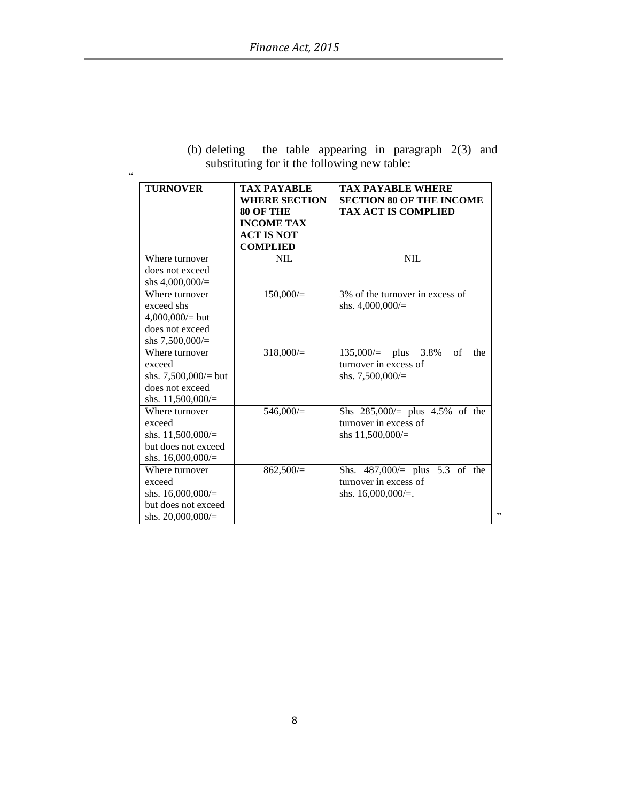$\alpha$ 

|  |  |                                              | (b) deleting the table appearing in paragraph $2(3)$ and |  |
|--|--|----------------------------------------------|----------------------------------------------------------|--|
|  |  | substituting for it the following new table: |                                                          |  |

| <b>TURNOVER</b>                                                                                 | TAX PAYABLE<br><b>WHERE SECTION</b><br><b>80 OF THE</b><br><b>INCOME TAX</b><br><b>ACT IS NOT</b><br><b>COMPLIED</b> | <b>TAX PAYABLE WHERE</b><br><b>SECTION 80 OF THE INCOME</b><br><b>TAX ACT IS COMPLIED</b> |
|-------------------------------------------------------------------------------------------------|----------------------------------------------------------------------------------------------------------------------|-------------------------------------------------------------------------------------------|
| Where turnover<br>does not exceed<br>shs $4,000,000/$ =                                         | <b>NIL</b>                                                                                                           | <b>NIL</b>                                                                                |
| Where turnover<br>exceed shs<br>$4,000,000/$ but<br>does not exceed<br>shs $7,500,000/$ =       | 150,000/                                                                                                             | 3% of the turnover in excess of<br>shs. $4,000,000/=$                                     |
| Where turnover<br>exceed<br>shs. $7,500,000/$ = but<br>does not exceed<br>shs. $11,500,000/=$   | 318,000/                                                                                                             | $135,000/=$ plus<br>3.8%<br>of<br>the<br>turnover in excess of<br>shs. $7,500,000/$ =     |
| Where turnover<br>exceed<br>shs. $11,500,000/=$<br>but does not exceed<br>shs. $16,000,000/$    | 546,000/                                                                                                             | Shs 285,000/= plus 4.5% of the<br>turnover in excess of<br>shs $11,500,000/$              |
| Where turnover<br>exceed<br>shs. $16,000,000/$ =<br>but does not exceed<br>shs. $20,000,000/$ = | $862,500 =$                                                                                                          | Shs. $487,000/=$ plus 5.3 of the<br>turnover in excess of<br>shs. $16,000,000/=$ .        |

"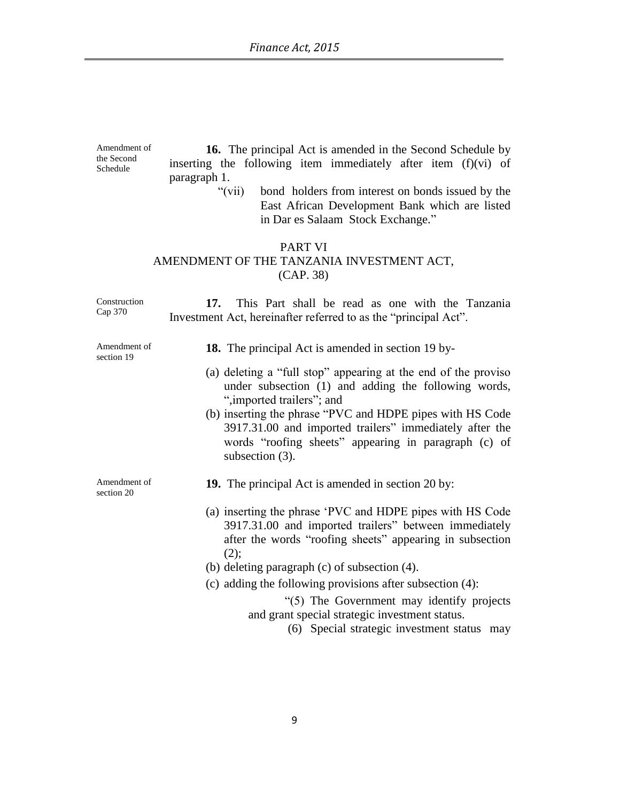Amendment of the Second Schedule **16.** The principal Act is amended in the Second Schedule by inserting the following item immediately after item (f)(vi) of paragraph 1.

> "(vii) bond holders from interest on bonds issued by the East African Development Bank which are listed in Dar es Salaam Stock Exchange."

### PART VI AMENDMENT OF THE TANZANIA INVESTMENT ACT, (CAP. 38)

Construction Cap 370 **17.** This Part shall be read as one with the Tanzania Investment Act, hereinafter referred to as the "principal Act". Amendment of section 19 **18.** The principal Act is amended in section 19 by- (a) deleting a "full stop" appearing at the end of the proviso under subsection (1) and adding the following words, ",imported trailers"; and (b) inserting the phrase "PVC and HDPE pipes with HS Code 3917.31.00 and imported trailers" immediately after the words "roofing sheets" appearing in paragraph (c) of subsection (3). Amendment of section 20 **19.** The principal Act is amended in section 20 by: (a) inserting the phrase "PVC and HDPE pipes with HS Code 3917.31.00 and imported trailers" between immediately after the words "roofing sheets" appearing in subsection  $(2)$ ; (b) deleting paragraph (c) of subsection (4). (c) adding the following provisions after subsection (4): "(5) The Government may identify projects and grant special strategic investment status. (6) Special strategic investment status may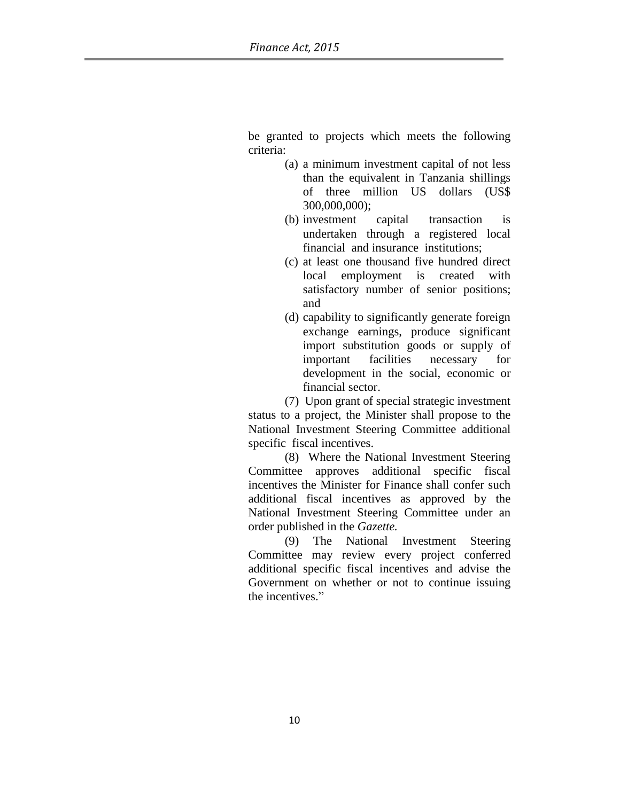be granted to projects which meets the following criteria:

- (a) a minimum investment capital of not less than the equivalent in Tanzania shillings of three million US dollars (US\$ 300,000,000);
- (b) investment capital transaction is undertaken through a registered local financial and insurance institutions;
- (c) at least one thousand five hundred direct local employment is created with satisfactory number of senior positions; and
- (d) capability to significantly generate foreign exchange earnings, produce significant import substitution goods or supply of important facilities necessary for development in the social, economic or financial sector.

(7) Upon grant of special strategic investment status to a project, the Minister shall propose to the National Investment Steering Committee additional specific fiscal incentives.

(8) Where the National Investment Steering Committee approves additional specific fiscal incentives the Minister for Finance shall confer such additional fiscal incentives as approved by the National Investment Steering Committee under an order published in the *Gazette.*

(9) The National Investment Steering Committee may review every project conferred additional specific fiscal incentives and advise the Government on whether or not to continue issuing the incentives."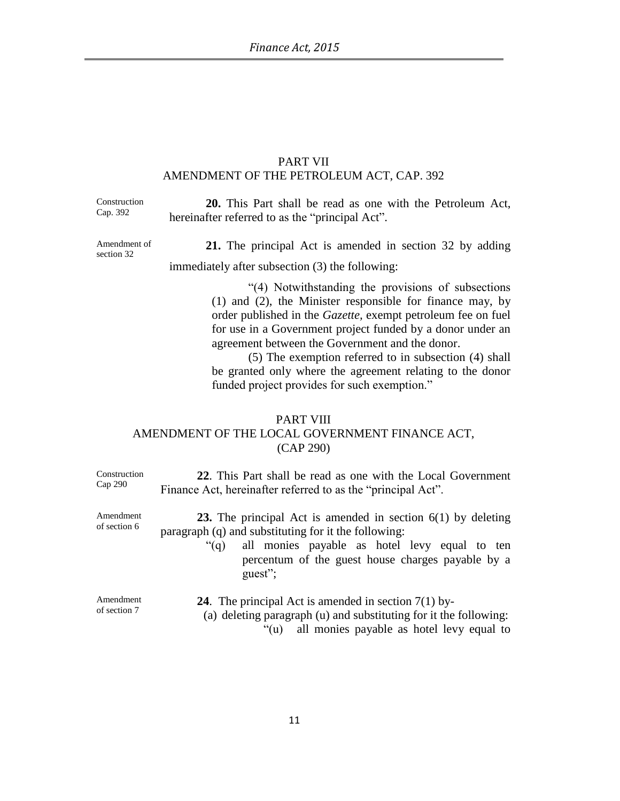### PART VII AMENDMENT OF THE PETROLEUM ACT, CAP. 392

Construction Cap. 392

**20.** This Part shall be read as one with the Petroleum Act, hereinafter referred to as the "principal Act".

Amendment of section 32

**21.** The principal Act is amended in section 32 by adding immediately after subsection (3) the following:

> "(4) Notwithstanding the provisions of subsections (1) and (2), the Minister responsible for finance may, by order published in the *Gazette,* exempt petroleum fee on fuel for use in a Government project funded by a donor under an agreement between the Government and the donor.

> (5) The exemption referred to in subsection (4) shall be granted only where the agreement relating to the donor funded project provides for such exemption."

### PART VIII AMENDMENT OF THE LOCAL GOVERNMENT FINANCE ACT, (CAP 290)

| Construction<br>Cap 290   | 22. This Part shall be read as one with the Local Government<br>Finance Act, hereinafter referred to as the "principal Act".                                                                                                                         |
|---------------------------|------------------------------------------------------------------------------------------------------------------------------------------------------------------------------------------------------------------------------------------------------|
| Amendment<br>of section 6 | 23. The principal Act is amended in section $6(1)$ by deleting<br>paragraph (q) and substituting for it the following:<br>all monies payable as hotel levy equal to ten<br>" $(q)$ "<br>percentum of the guest house charges payable by a<br>guest"; |
| Amendment<br>of section 7 | <b>24.</b> The principal Act is amended in section $7(1)$ by-<br>(a) deleting paragraph $(u)$ and substituting for it the following:<br>"(u) all monies payable as hotel levy equal to                                                               |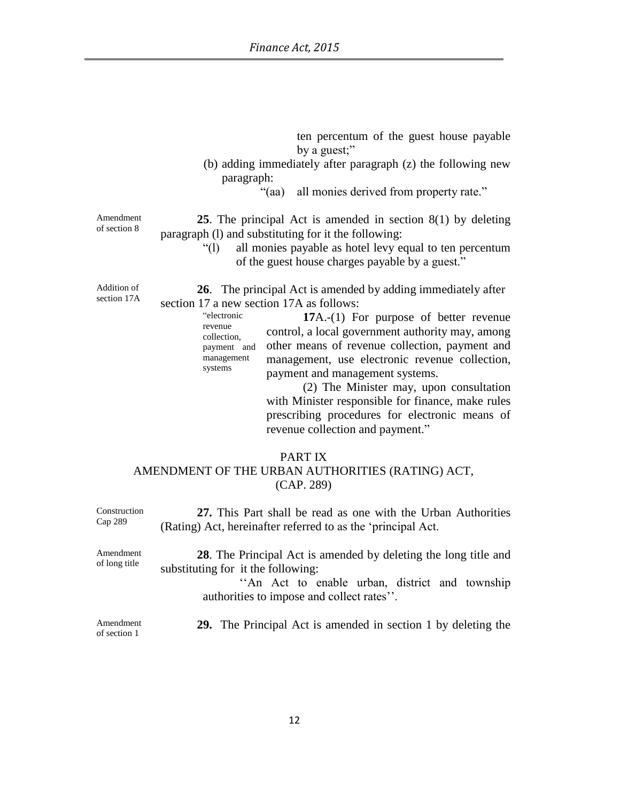ten percentum of the guest house payable by a guest;"

- (b) adding immediately after paragraph (z) the following new paragraph:
	- "(aa) all monies derived from property rate."

Amendment of section 8

**25**. The principal Act is amended in section 8(1) by deleting paragraph (l) and substituting for it the following:

> "(l) all monies payable as hotel levy equal to ten percentum of the guest house charges payable by a guest."

Addition of section 17A

revenue

systems

**26**. The principal Act is amended by adding immediately after section 17 a new section 17A as follows:

> "electronic collection, payment and management **17**A.-(1) For purpose of better revenue control, a local government authority may, among other means of revenue collection, payment and management, use electronic revenue collection, payment and management systems.

> > (2) The Minister may, upon consultation with Minister responsible for finance, make rules prescribing procedures for electronic means of revenue collection and payment."

#### PART IX

### AMENDMENT OF THE URBAN AUTHORITIES (RATING) ACT, (CAP. 289)

| Construction<br>$Cap$ 289  | 27. This Part shall be read as one with the Urban Authorities<br>(Rating) Act, hereinafter referred to as the 'principal Act.                                                                        |
|----------------------------|------------------------------------------------------------------------------------------------------------------------------------------------------------------------------------------------------|
| Amendment<br>of long title | 28. The Principal Act is amended by deleting the long title and<br>substituting for it the following:<br>"An Act to enable urban, district and township<br>authorities to impose and collect rates". |
| Amendment<br>of section 1  | 29. The Principal Act is amended in section 1 by deleting the                                                                                                                                        |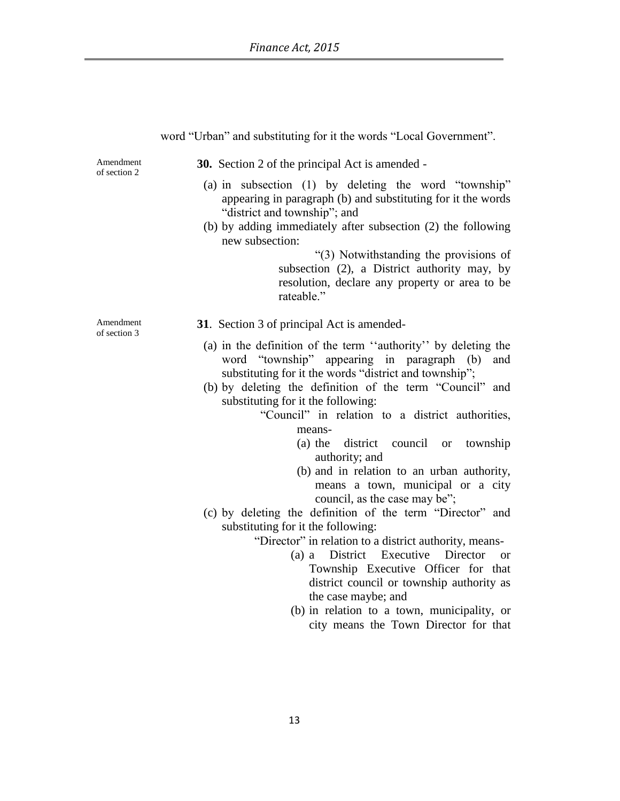|                           | word $\theta$ order and substituting for it the words $\theta$ local Government.                                                                                                                                                                                                                                                                                                                                                                                                                                                                                                                                                                                                                           |
|---------------------------|------------------------------------------------------------------------------------------------------------------------------------------------------------------------------------------------------------------------------------------------------------------------------------------------------------------------------------------------------------------------------------------------------------------------------------------------------------------------------------------------------------------------------------------------------------------------------------------------------------------------------------------------------------------------------------------------------------|
| Amendment<br>of section 2 | <b>30.</b> Section 2 of the principal Act is amended -                                                                                                                                                                                                                                                                                                                                                                                                                                                                                                                                                                                                                                                     |
|                           | (a) in subsection (1) by deleting the word "township"<br>appearing in paragraph (b) and substituting for it the words<br>"district and township"; and<br>(b) by adding immediately after subsection (2) the following<br>new subsection:<br>"(3) Notwithstanding the provisions of<br>subsection (2), a District authority may, by<br>resolution, declare any property or area to be                                                                                                                                                                                                                                                                                                                       |
|                           | rateable."                                                                                                                                                                                                                                                                                                                                                                                                                                                                                                                                                                                                                                                                                                 |
| Amendment<br>of section 3 | 31. Section 3 of principal Act is amended-                                                                                                                                                                                                                                                                                                                                                                                                                                                                                                                                                                                                                                                                 |
|                           | (a) in the definition of the term "authority" by deleting the<br>word "township" appearing in paragraph<br>and<br>(b)<br>substituting for it the words "district and township";<br>(b) by deleting the definition of the term "Council" and<br>substituting for it the following:<br>"Council" in relation to a district authorities,<br>means-<br>(a) the district<br>council<br>township<br><b>or</b><br>authority; and<br>(b) and in relation to an urban authority,<br>means a town, municipal or a city<br>council, as the case may be";<br>(c) by deleting the definition of the term "Director" and<br>substituting for it the following:<br>"Director" in relation to a district authority, means- |
|                           | Director<br>(a) a District Executive<br><sub>or</sub><br>Township Executive Officer for that<br>district council or township authority as<br>the case maybe; and                                                                                                                                                                                                                                                                                                                                                                                                                                                                                                                                           |
|                           | (b) in relation to a town, municipality, or<br>city means the Town Director for that                                                                                                                                                                                                                                                                                                                                                                                                                                                                                                                                                                                                                       |

### word "Urban" and substituting for it the words "Local Government".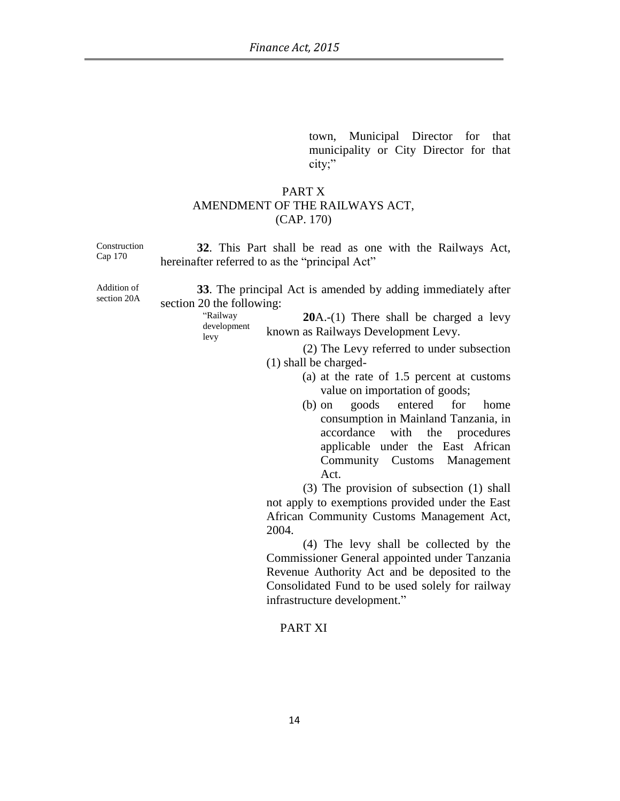town, Municipal Director for that municipality or City Director for that city;"

### PART X AMENDMENT OF THE RAILWAYS ACT, (CAP. 170)

| Construction<br>Cap 170    | 32. This Part shall be read as one with the Railways Act,<br>hereinafter referred to as the "principal Act"                                                                                                    |
|----------------------------|----------------------------------------------------------------------------------------------------------------------------------------------------------------------------------------------------------------|
| Addition of<br>section 20A | 33. The principal Act is amended by adding immediately after<br>section 20 the following:<br>"Railway<br>$20A-(1)$ There shall be charged a levy<br>development<br>known as Railways Development Levy.<br>levy |
|                            | (2) The Levy referred to under subsection<br>$(1)$ shall be charged-<br>(a) at the rate of 1.5 percent at customs                                                                                              |
|                            | value on importation of goods;<br>goods entered for<br>home<br>$(b)$ on<br>consumption in Mainland Tanzania, in<br>accordance with the procedures<br>applicable under the East African                         |
|                            | Community Customs Management<br>Act.<br>(3) The provision of subsection (1) shall                                                                                                                              |

not apply to exemptions provided under the East African Community Customs Management Act, 2004.

(4) The levy shall be collected by the Commissioner General appointed under Tanzania Revenue Authority Act and be deposited to the Consolidated Fund to be used solely for railway infrastructure development."

#### PART XI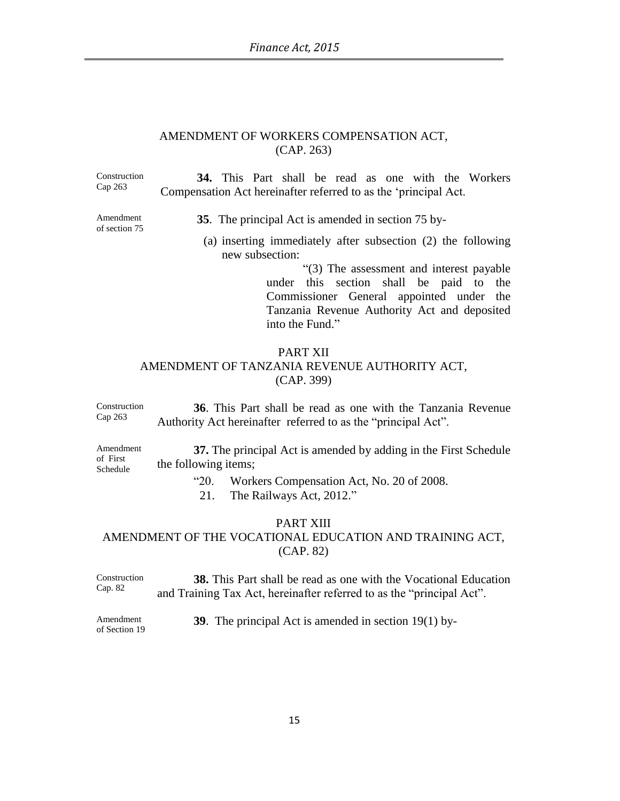#### AMENDMENT OF WORKERS COMPENSATION ACT, (CAP. 263)

Construction Cap 263 **34.** This Part shall be read as one with the Workers Compensation Act hereinafter referred to as the "principal Act. Amendment of section 75 **35**. The principal Act is amended in section 75 by- (a) inserting immediately after subsection (2) the following new subsection:

> "(3) The assessment and interest payable under this section shall be paid to the Commissioner General appointed under the Tanzania Revenue Authority Act and deposited into the Fund."

### PART XII AMENDMENT OF TANZANIA REVENUE AUTHORITY ACT, (CAP. 399)

Construction Cap 263 **36**. This Part shall be read as one with the Tanzania Revenue Authority Act hereinafter referred to as the "principal Act".

**37.** The principal Act is amended by adding in the First Schedule the following items;

"20. Workers Compensation Act, No. 20 of 2008.

21. The Railways Act, 2012."

#### PART XIII

# AMENDMENT OF THE VOCATIONAL EDUCATION AND TRAINING ACT, (CAP. 82)

Construction Cap. 82 **38.** This Part shall be read as one with the Vocational Education and Training Tax Act, hereinafter referred to as the "principal Act".

Amendment of Section 19 **39**. The principal Act is amended in section 19(1) by-

Amendment of First Schedule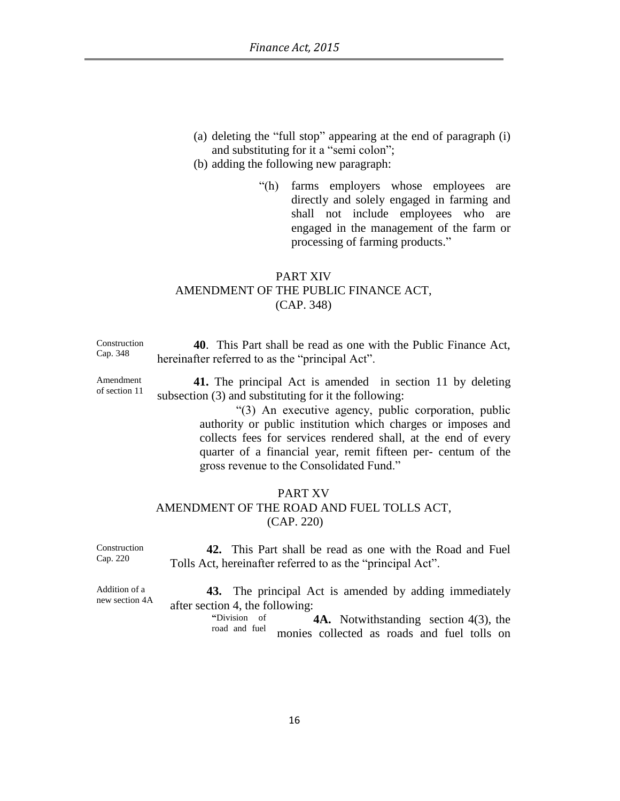- (a) deleting the "full stop" appearing at the end of paragraph (i) and substituting for it a "semi colon";
- (b) adding the following new paragraph:
	- "(h) farms employers whose employees are directly and solely engaged in farming and shall not include employees who are engaged in the management of the farm or processing of farming products."

### PART XIV AMENDMENT OF THE PUBLIC FINANCE ACT, (CAP. 348)

| Construction | 40. This Part shall be read as one with the Public Finance Act, |
|--------------|-----------------------------------------------------------------|
| Cap. 348     | hereinafter referred to as the "principal Act".                 |
|              |                                                                 |

**41.** The principal Act is amended in section 11 by deleting subsection (3) and substituting for it the following:

> "(3) An executive agency, public corporation, public authority or public institution which charges or imposes and collects fees for services rendered shall, at the end of every quarter of a financial year, remit fifteen per- centum of the gross revenue to the Consolidated Fund."

#### PART XV AMENDMENT OF THE ROAD AND FUEL TOLLS ACT, (CAP. 220)

Construction Cap. 220 **42.** This Part shall be read as one with the Road and Fuel Tolls Act, hereinafter referred to as the "principal Act".

Addition of a new section 4A **43.** The principal Act is amended by adding immediately after section 4, the following:

**"**Division of road and fuel **4A.** Notwithstanding section 4(3), the monies collected as roads and fuel tolls on

| Amendment     |  |
|---------------|--|
| of section 11 |  |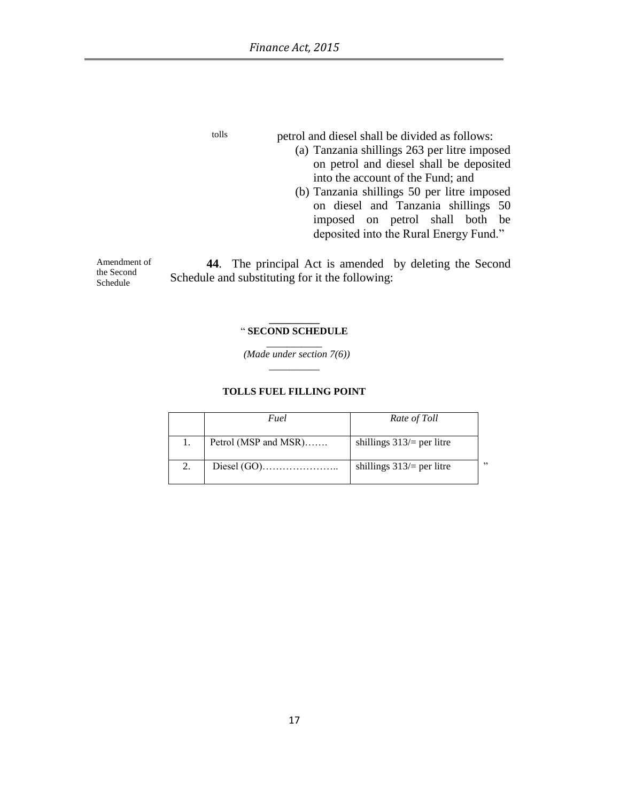Schedule

tolls petrol and diesel shall be divided as follows:

- (a) Tanzania shillings 263 per litre imposed on petrol and diesel shall be deposited into the account of the Fund; and
- (b) Tanzania shillings 50 per litre imposed on diesel and Tanzania shillings 50 imposed on petrol shall both be deposited into the Rural Energy Fund."

Amendment of the Second **44**. The principal Act is amended by deleting the Second Schedule and substituting for it the following:

#### **\_\_\_\_\_\_\_\_\_\_** " **SECOND SCHEDULE** \_\_\_\_\_\_\_\_\_\_\_

 *(Made under section 7(6)) \_\_\_\_\_\_\_\_\_\_*

#### **TOLLS FUEL FILLING POINT**

|    | Fuel                 | Rate of Toll                 |     |
|----|----------------------|------------------------------|-----|
|    | Petrol (MSP and MSR) | shillings $313/$ = per litre |     |
| 2. |                      | shillings $313/$ = per litre | , 2 |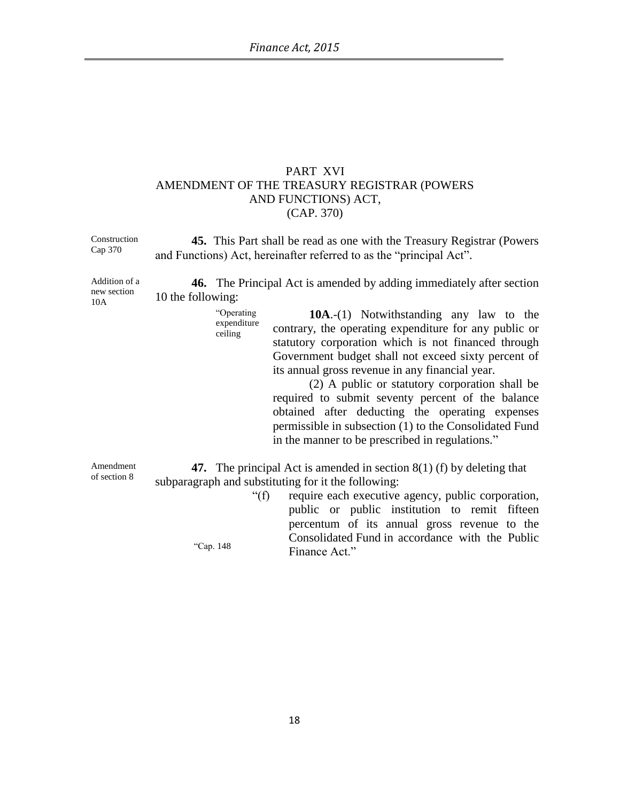## PART XVI AMENDMENT OF THE TREASURY REGISTRAR (POWERS AND FUNCTIONS) ACT, (CAP. 370)

| Construction<br>Cap 370             | <b>45.</b> This Part shall be read as one with the Treasury Registrar (Powers)<br>and Functions) Act, hereinafter referred to as the "principal Act".                                                                                                                                                                                                                                                                                                                                                                                                                                    |
|-------------------------------------|------------------------------------------------------------------------------------------------------------------------------------------------------------------------------------------------------------------------------------------------------------------------------------------------------------------------------------------------------------------------------------------------------------------------------------------------------------------------------------------------------------------------------------------------------------------------------------------|
| Addition of a<br>new section<br>10A | <b>46.</b> The Principal Act is amended by adding immediately after section<br>10 the following:                                                                                                                                                                                                                                                                                                                                                                                                                                                                                         |
|                                     | "Operating<br><b>10A.</b> -(1) Notwithstanding any law to the<br>expenditure<br>contrary, the operating expenditure for any public or<br>ceiling<br>statutory corporation which is not financed through<br>Government budget shall not exceed sixty percent of<br>its annual gross revenue in any financial year.<br>(2) A public or statutory corporation shall be<br>required to submit seventy percent of the balance<br>obtained after deducting the operating expenses<br>permissible in subsection (1) to the Consolidated Fund<br>in the manner to be prescribed in regulations." |
| Amendment<br>of section 8           | 47. The principal Act is amended in section $8(1)$ (f) by deleting that<br>subparagraph and substituting for it the following:<br>" $(f)$<br>require each executive agency, public corporation,<br>public or public institution to remit fifteen<br>percentum of its annual gross revenue to the                                                                                                                                                                                                                                                                                         |
|                                     | Consolidated Fund in accordance with the Public<br>"Cap. 148<br>Finance Act."                                                                                                                                                                                                                                                                                                                                                                                                                                                                                                            |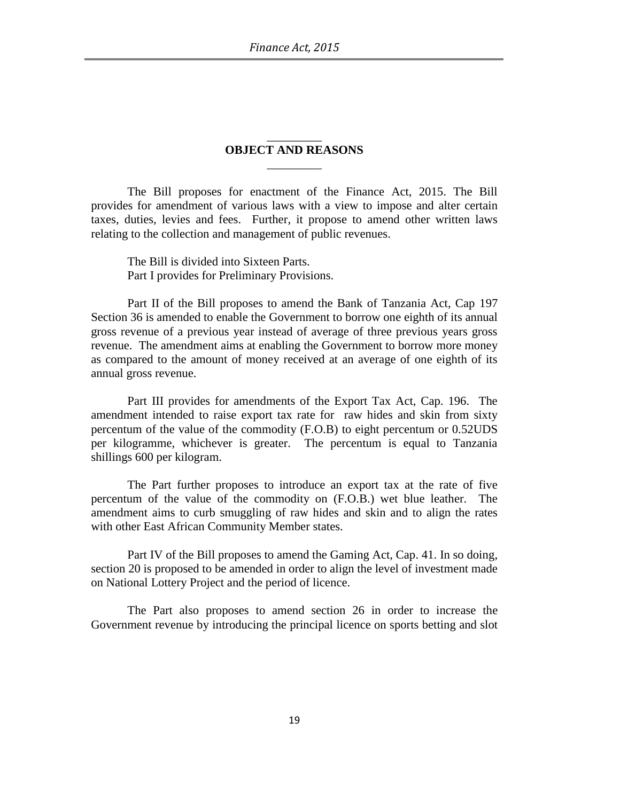#### \_\_\_\_\_\_\_\_\_ **OBJECT AND REASONS**  $\overline{\phantom{a}}$

The Bill proposes for enactment of the Finance Act, 2015. The Bill provides for amendment of various laws with a view to impose and alter certain taxes, duties, levies and fees. Further, it propose to amend other written laws relating to the collection and management of public revenues.

The Bill is divided into Sixteen Parts. Part I provides for Preliminary Provisions.

Part II of the Bill proposes to amend the Bank of Tanzania Act, Cap 197 Section 36 is amended to enable the Government to borrow one eighth of its annual gross revenue of a previous year instead of average of three previous years gross revenue. The amendment aims at enabling the Government to borrow more money as compared to the amount of money received at an average of one eighth of its annual gross revenue.

Part III provides for amendments of the Export Tax Act, Cap. 196. The amendment intended to raise export tax rate for raw hides and skin from sixty percentum of the value of the commodity (F.O.B) to eight percentum or 0.52UDS per kilogramme, whichever is greater. The percentum is equal to Tanzania shillings 600 per kilogram.

The Part further proposes to introduce an export tax at the rate of five percentum of the value of the commodity on (F.O.B.) wet blue leather. The amendment aims to curb smuggling of raw hides and skin and to align the rates with other East African Community Member states.

Part IV of the Bill proposes to amend the Gaming Act, Cap. 41. In so doing, section 20 is proposed to be amended in order to align the level of investment made on National Lottery Project and the period of licence.

The Part also proposes to amend section 26 in order to increase the Government revenue by introducing the principal licence on sports betting and slot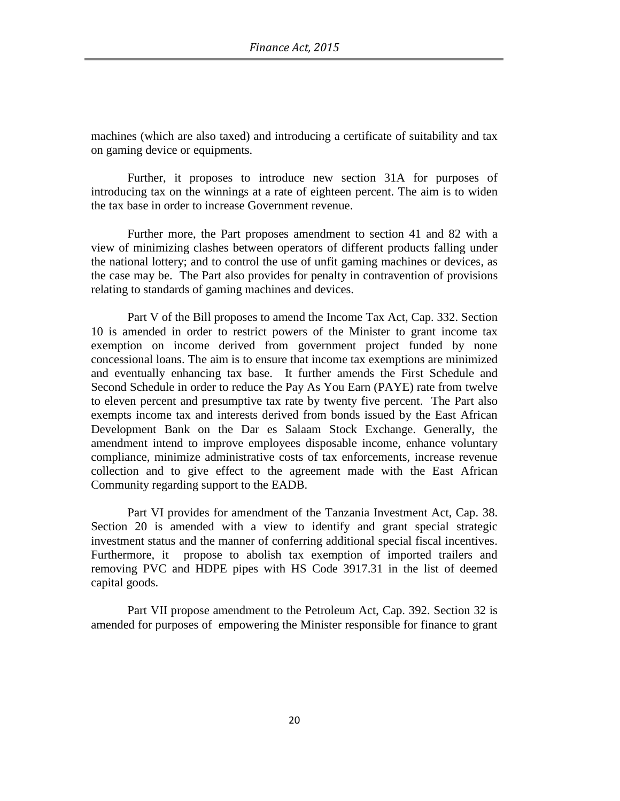machines (which are also taxed) and introducing a certificate of suitability and tax on gaming device or equipments.

Further, it proposes to introduce new section 31A for purposes of introducing tax on the winnings at a rate of eighteen percent. The aim is to widen the tax base in order to increase Government revenue.

Further more, the Part proposes amendment to section 41 and 82 with a view of minimizing clashes between operators of different products falling under the national lottery; and to control the use of unfit gaming machines or devices, as the case may be. The Part also provides for penalty in contravention of provisions relating to standards of gaming machines and devices.

Part V of the Bill proposes to amend the Income Tax Act, Cap. 332. Section 10 is amended in order to restrict powers of the Minister to grant income tax exemption on income derived from government project funded by none concessional loans. The aim is to ensure that income tax exemptions are minimized and eventually enhancing tax base. It further amends the First Schedule and Second Schedule in order to reduce the Pay As You Earn (PAYE) rate from twelve to eleven percent and presumptive tax rate by twenty five percent. The Part also exempts income tax and interests derived from bonds issued by the East African Development Bank on the Dar es Salaam Stock Exchange. Generally, the amendment intend to improve employees disposable income, enhance voluntary compliance, minimize administrative costs of tax enforcements, increase revenue collection and to give effect to the agreement made with the East African Community regarding support to the EADB.

Part VI provides for amendment of the Tanzania Investment Act, Cap. 38. Section 20 is amended with a view to identify and grant special strategic investment status and the manner of conferring additional special fiscal incentives. Furthermore, it propose to abolish tax exemption of imported trailers and removing PVC and HDPE pipes with HS Code 3917.31 in the list of deemed capital goods.

Part VII propose amendment to the Petroleum Act, Cap. 392. Section 32 is amended for purposes of empowering the Minister responsible for finance to grant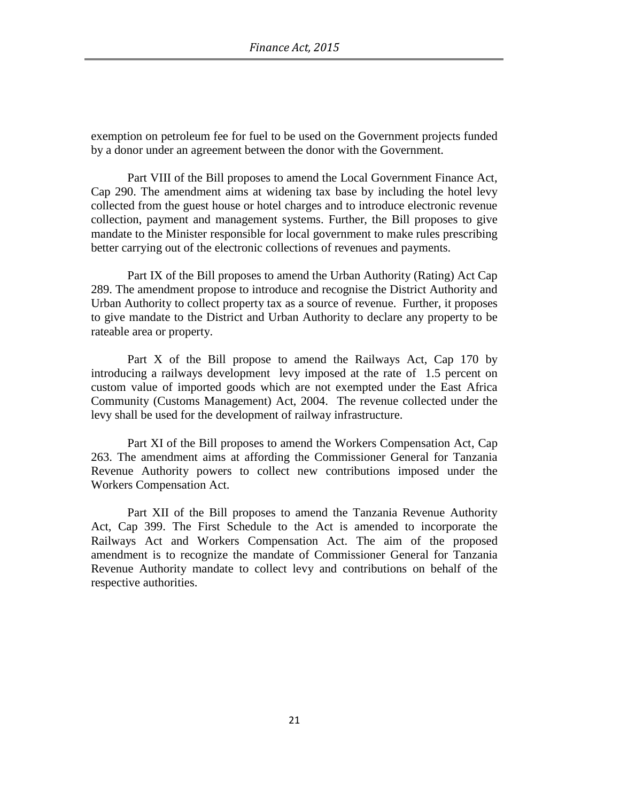exemption on petroleum fee for fuel to be used on the Government projects funded by a donor under an agreement between the donor with the Government.

Part VIII of the Bill proposes to amend the Local Government Finance Act, Cap 290. The amendment aims at widening tax base by including the hotel levy collected from the guest house or hotel charges and to introduce electronic revenue collection, payment and management systems. Further, the Bill proposes to give mandate to the Minister responsible for local government to make rules prescribing better carrying out of the electronic collections of revenues and payments.

Part IX of the Bill proposes to amend the Urban Authority (Rating) Act Cap 289. The amendment propose to introduce and recognise the District Authority and Urban Authority to collect property tax as a source of revenue. Further, it proposes to give mandate to the District and Urban Authority to declare any property to be rateable area or property.

Part X of the Bill propose to amend the Railways Act, Cap 170 by introducing a railways development levy imposed at the rate of 1.5 percent on custom value of imported goods which are not exempted under the East Africa Community (Customs Management) Act, 2004. The revenue collected under the levy shall be used for the development of railway infrastructure.

Part XI of the Bill proposes to amend the Workers Compensation Act, Cap 263. The amendment aims at affording the Commissioner General for Tanzania Revenue Authority powers to collect new contributions imposed under the Workers Compensation Act.

Part XII of the Bill proposes to amend the Tanzania Revenue Authority Act, Cap 399. The First Schedule to the Act is amended to incorporate the Railways Act and Workers Compensation Act. The aim of the proposed amendment is to recognize the mandate of Commissioner General for Tanzania Revenue Authority mandate to collect levy and contributions on behalf of the respective authorities.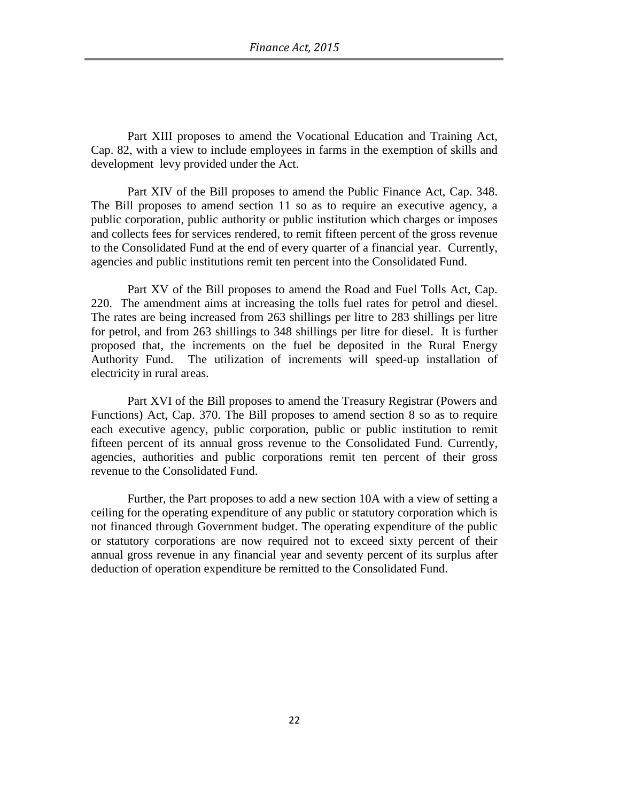Part XIII proposes to amend the Vocational Education and Training Act, Cap. 82, with a view to include employees in farms in the exemption of skills and development levy provided under the Act.

Part XIV of the Bill proposes to amend the Public Finance Act, Cap. 348. The Bill proposes to amend section 11 so as to require an executive agency, a public corporation, public authority or public institution which charges or imposes and collects fees for services rendered, to remit fifteen percent of the gross revenue to the Consolidated Fund at the end of every quarter of a financial year. Currently, agencies and public institutions remit ten percent into the Consolidated Fund.

Part XV of the Bill proposes to amend the Road and Fuel Tolls Act, Cap. 220. The amendment aims at increasing the tolls fuel rates for petrol and diesel. The rates are being increased from 263 shillings per litre to 283 shillings per litre for petrol, and from 263 shillings to 348 shillings per litre for diesel. It is further proposed that, the increments on the fuel be deposited in the Rural Energy Authority Fund. The utilization of increments will speed-up installation of electricity in rural areas.

Part XVI of the Bill proposes to amend the Treasury Registrar (Powers and Functions) Act, Cap. 370. The Bill proposes to amend section 8 so as to require each executive agency, public corporation, public or public institution to remit fifteen percent of its annual gross revenue to the Consolidated Fund. Currently, agencies, authorities and public corporations remit ten percent of their gross revenue to the Consolidated Fund.

Further, the Part proposes to add a new section 10A with a view of setting a ceiling for the operating expenditure of any public or statutory corporation which is not financed through Government budget. The operating expenditure of the public or statutory corporations are now required not to exceed sixty percent of their annual gross revenue in any financial year and seventy percent of its surplus after deduction of operation expenditure be remitted to the Consolidated Fund.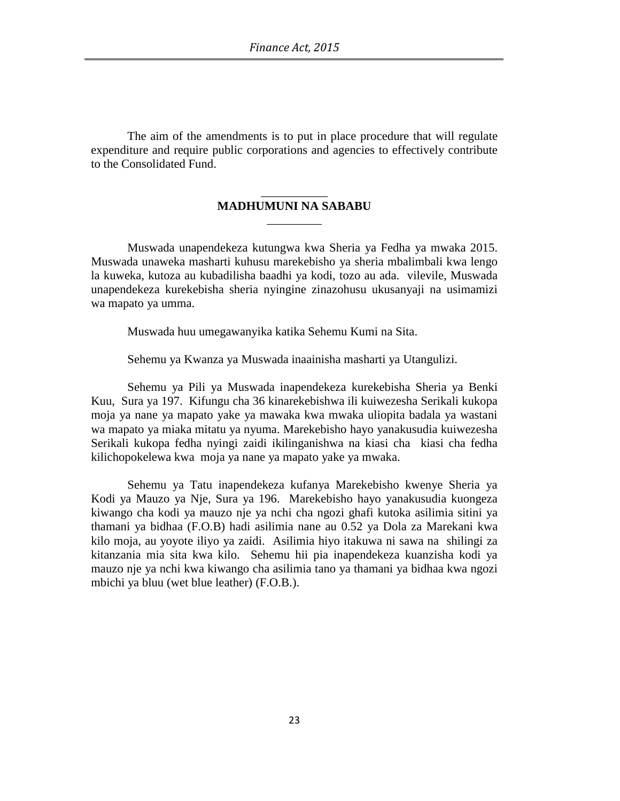The aim of the amendments is to put in place procedure that will regulate expenditure and require public corporations and agencies to effectively contribute to the Consolidated Fund.

#### \_\_\_\_\_\_\_\_\_\_\_ **MADHUMUNI NA SABABU** \_\_\_\_\_\_\_\_\_

Muswada unapendekeza kutungwa kwa Sheria ya Fedha ya mwaka 2015. Muswada unaweka masharti kuhusu marekebisho ya sheria mbalimbali kwa lengo la kuweka, kutoza au kubadilisha baadhi ya kodi, tozo au ada. vilevile, Muswada unapendekeza kurekebisha sheria nyingine zinazohusu ukusanyaji na usimamizi wa mapato ya umma.

Muswada huu umegawanyika katika Sehemu Kumi na Sita.

Sehemu ya Kwanza ya Muswada inaainisha masharti ya Utangulizi.

Sehemu ya Pili ya Muswada inapendekeza kurekebisha Sheria ya Benki Kuu, Sura ya 197. Kifungu cha 36 kinarekebishwa ili kuiwezesha Serikali kukopa moja ya nane ya mapato yake ya mawaka kwa mwaka uliopita badala ya wastani wa mapato ya miaka mitatu ya nyuma. Marekebisho hayo yanakusudia kuiwezesha Serikali kukopa fedha nyingi zaidi ikilinganishwa na kiasi cha kiasi cha fedha kilichopokelewa kwa moja ya nane ya mapato yake ya mwaka.

Sehemu ya Tatu inapendekeza kufanya Marekebisho kwenye Sheria ya Kodi ya Mauzo ya Nje, Sura ya 196. Marekebisho hayo yanakusudia kuongeza kiwango cha kodi ya mauzo nje ya nchi cha ngozi ghafi kutoka asilimia sitini ya thamani ya bidhaa (F.O.B) hadi asilimia nane au 0.52 ya Dola za Marekani kwa kilo moja, au yoyote iliyo ya zaidi. Asilimia hiyo itakuwa ni sawa na shilingi za kitanzania mia sita kwa kilo. Sehemu hii pia inapendekeza kuanzisha kodi ya mauzo nje ya nchi kwa kiwango cha asilimia tano ya thamani ya bidhaa kwa ngozi mbichi ya bluu (wet blue leather) (F.O.B.).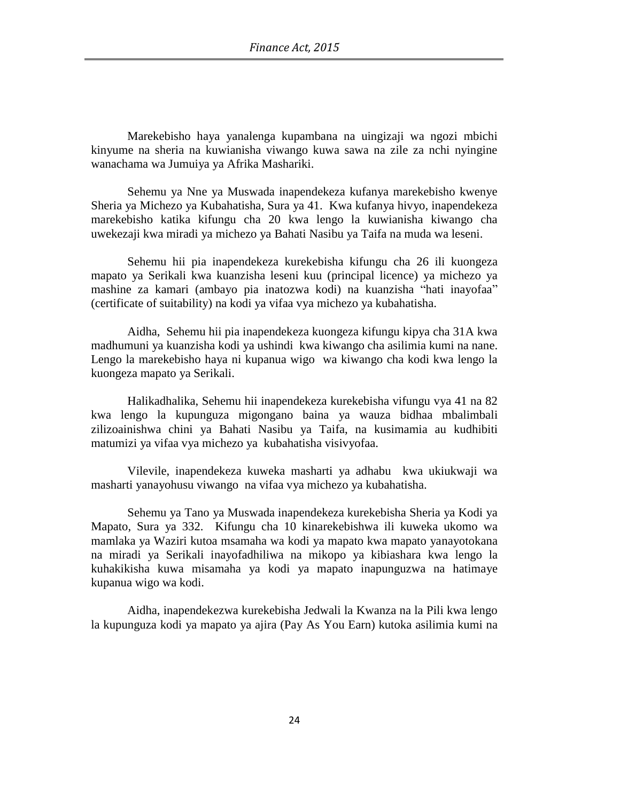Marekebisho haya yanalenga kupambana na uingizaji wa ngozi mbichi kinyume na sheria na kuwianisha viwango kuwa sawa na zile za nchi nyingine wanachama wa Jumuiya ya Afrika Mashariki.

Sehemu ya Nne ya Muswada inapendekeza kufanya marekebisho kwenye Sheria ya Michezo ya Kubahatisha, Sura ya 41. Kwa kufanya hivyo, inapendekeza marekebisho katika kifungu cha 20 kwa lengo la kuwianisha kiwango cha uwekezaji kwa miradi ya michezo ya Bahati Nasibu ya Taifa na muda wa leseni.

Sehemu hii pia inapendekeza kurekebisha kifungu cha 26 ili kuongeza mapato ya Serikali kwa kuanzisha leseni kuu (principal licence) ya michezo ya mashine za kamari (ambayo pia inatozwa kodi) na kuanzisha "hati inayofaa" (certificate of suitability) na kodi ya vifaa vya michezo ya kubahatisha.

Aidha, Sehemu hii pia inapendekeza kuongeza kifungu kipya cha 31A kwa madhumuni ya kuanzisha kodi ya ushindi kwa kiwango cha asilimia kumi na nane. Lengo la marekebisho haya ni kupanua wigo wa kiwango cha kodi kwa lengo la kuongeza mapato ya Serikali.

Halikadhalika, Sehemu hii inapendekeza kurekebisha vifungu vya 41 na 82 kwa lengo la kupunguza migongano baina ya wauza bidhaa mbalimbali zilizoainishwa chini ya Bahati Nasibu ya Taifa, na kusimamia au kudhibiti matumizi ya vifaa vya michezo ya kubahatisha visivyofaa.

Vilevile, inapendekeza kuweka masharti ya adhabu kwa ukiukwaji wa masharti yanayohusu viwango na vifaa vya michezo ya kubahatisha.

Sehemu ya Tano ya Muswada inapendekeza kurekebisha Sheria ya Kodi ya Mapato, Sura ya 332. Kifungu cha 10 kinarekebishwa ili kuweka ukomo wa mamlaka ya Waziri kutoa msamaha wa kodi ya mapato kwa mapato yanayotokana na miradi ya Serikali inayofadhiliwa na mikopo ya kibiashara kwa lengo la kuhakikisha kuwa misamaha ya kodi ya mapato inapunguzwa na hatimaye kupanua wigo wa kodi.

Aidha, inapendekezwa kurekebisha Jedwali la Kwanza na la Pili kwa lengo la kupunguza kodi ya mapato ya ajira (Pay As You Earn) kutoka asilimia kumi na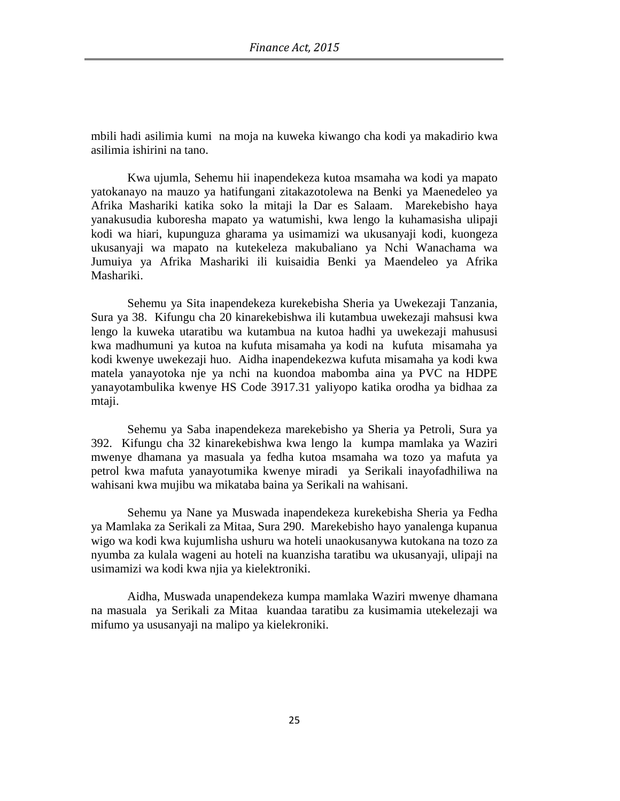mbili hadi asilimia kumi na moja na kuweka kiwango cha kodi ya makadirio kwa asilimia ishirini na tano.

Kwa ujumla, Sehemu hii inapendekeza kutoa msamaha wa kodi ya mapato yatokanayo na mauzo ya hatifungani zitakazotolewa na Benki ya Maenedeleo ya Afrika Mashariki katika soko la mitaji la Dar es Salaam. Marekebisho haya yanakusudia kuboresha mapato ya watumishi, kwa lengo la kuhamasisha ulipaji kodi wa hiari, kupunguza gharama ya usimamizi wa ukusanyaji kodi, kuongeza ukusanyaji wa mapato na kutekeleza makubaliano ya Nchi Wanachama wa Jumuiya ya Afrika Mashariki ili kuisaidia Benki ya Maendeleo ya Afrika Mashariki.

Sehemu ya Sita inapendekeza kurekebisha Sheria ya Uwekezaji Tanzania, Sura ya 38. Kifungu cha 20 kinarekebishwa ili kutambua uwekezaji mahsusi kwa lengo la kuweka utaratibu wa kutambua na kutoa hadhi ya uwekezaji mahususi kwa madhumuni ya kutoa na kufuta misamaha ya kodi na kufuta misamaha ya kodi kwenye uwekezaji huo. Aidha inapendekezwa kufuta misamaha ya kodi kwa matela yanayotoka nje ya nchi na kuondoa mabomba aina ya PVC na HDPE yanayotambulika kwenye HS Code 3917.31 yaliyopo katika orodha ya bidhaa za mtaji.

Sehemu ya Saba inapendekeza marekebisho ya Sheria ya Petroli, Sura ya 392. Kifungu cha 32 kinarekebishwa kwa lengo la kumpa mamlaka ya Waziri mwenye dhamana ya masuala ya fedha kutoa msamaha wa tozo ya mafuta ya petrol kwa mafuta yanayotumika kwenye miradi ya Serikali inayofadhiliwa na wahisani kwa mujibu wa mikataba baina ya Serikali na wahisani.

Sehemu ya Nane ya Muswada inapendekeza kurekebisha Sheria ya Fedha ya Mamlaka za Serikali za Mitaa, Sura 290. Marekebisho hayo yanalenga kupanua wigo wa kodi kwa kujumlisha ushuru wa hoteli unaokusanywa kutokana na tozo za nyumba za kulala wageni au hoteli na kuanzisha taratibu wa ukusanyaji, ulipaji na usimamizi wa kodi kwa njia ya kielektroniki.

Aidha, Muswada unapendekeza kumpa mamlaka Waziri mwenye dhamana na masuala ya Serikali za Mitaa kuandaa taratibu za kusimamia utekelezaji wa mifumo ya ususanyaji na malipo ya kielekroniki.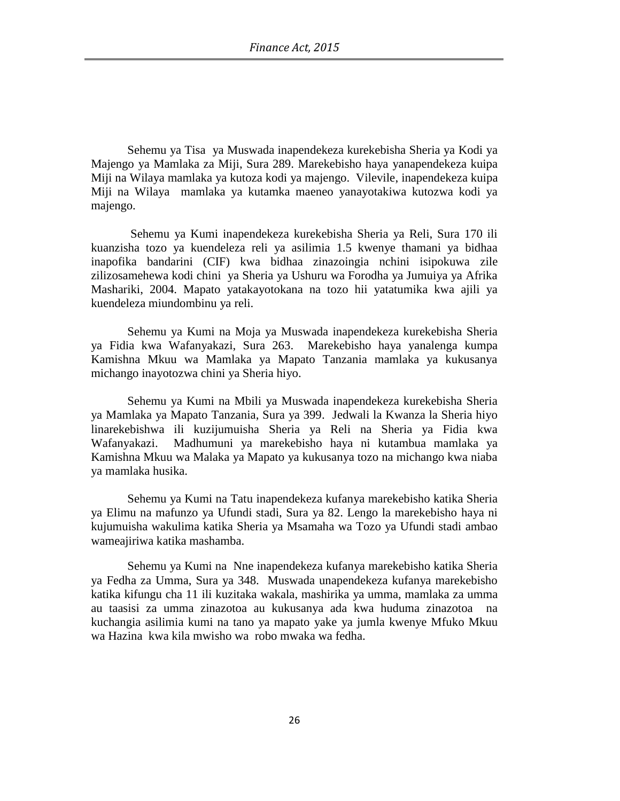Sehemu ya Tisa ya Muswada inapendekeza kurekebisha Sheria ya Kodi ya Majengo ya Mamlaka za Miji, Sura 289. Marekebisho haya yanapendekeza kuipa Miji na Wilaya mamlaka ya kutoza kodi ya majengo. Vilevile, inapendekeza kuipa Miji na Wilaya mamlaka ya kutamka maeneo yanayotakiwa kutozwa kodi ya majengo.

Sehemu ya Kumi inapendekeza kurekebisha Sheria ya Reli, Sura 170 ili kuanzisha tozo ya kuendeleza reli ya asilimia 1.5 kwenye thamani ya bidhaa inapofika bandarini (CIF) kwa bidhaa zinazoingia nchini isipokuwa zile zilizosamehewa kodi chini ya Sheria ya Ushuru wa Forodha ya Jumuiya ya Afrika Mashariki, 2004. Mapato yatakayotokana na tozo hii yatatumika kwa ajili ya kuendeleza miundombinu ya reli.

Sehemu ya Kumi na Moja ya Muswada inapendekeza kurekebisha Sheria ya Fidia kwa Wafanyakazi, Sura 263. Marekebisho haya yanalenga kumpa Kamishna Mkuu wa Mamlaka ya Mapato Tanzania mamlaka ya kukusanya michango inayotozwa chini ya Sheria hiyo.

Sehemu ya Kumi na Mbili ya Muswada inapendekeza kurekebisha Sheria ya Mamlaka ya Mapato Tanzania, Sura ya 399. Jedwali la Kwanza la Sheria hiyo linarekebishwa ili kuzijumuisha Sheria ya Reli na Sheria ya Fidia kwa Wafanyakazi. Madhumuni ya marekebisho haya ni kutambua mamlaka ya Kamishna Mkuu wa Malaka ya Mapato ya kukusanya tozo na michango kwa niaba ya mamlaka husika.

Sehemu ya Kumi na Tatu inapendekeza kufanya marekebisho katika Sheria ya Elimu na mafunzo ya Ufundi stadi, Sura ya 82. Lengo la marekebisho haya ni kujumuisha wakulima katika Sheria ya Msamaha wa Tozo ya Ufundi stadi ambao wameajiriwa katika mashamba.

Sehemu ya Kumi na Nne inapendekeza kufanya marekebisho katika Sheria ya Fedha za Umma, Sura ya 348. Muswada unapendekeza kufanya marekebisho katika kifungu cha 11 ili kuzitaka wakala, mashirika ya umma, mamlaka za umma au taasisi za umma zinazotoa au kukusanya ada kwa huduma zinazotoa na kuchangia asilimia kumi na tano ya mapato yake ya jumla kwenye Mfuko Mkuu wa Hazina kwa kila mwisho wa robo mwaka wa fedha.